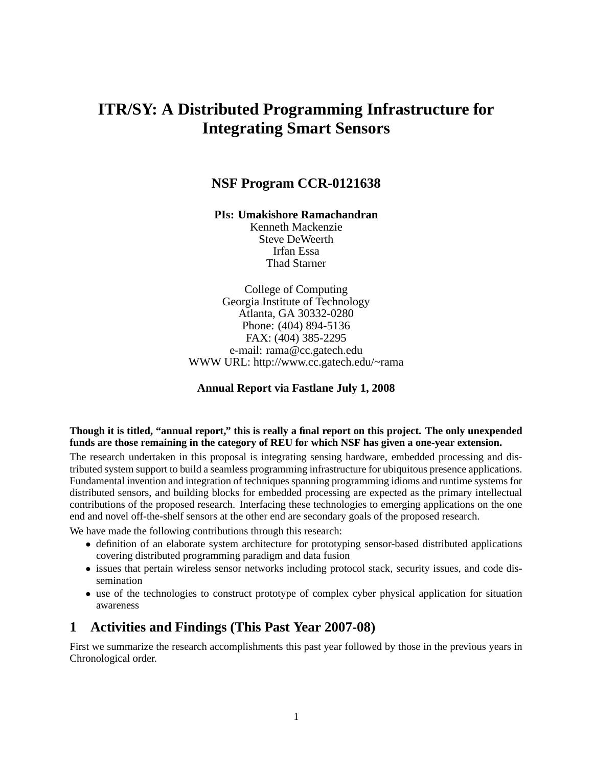# **ITR/SY: A Distributed Programming Infrastructure for Integrating Smart Sensors**

## **NSF Program CCR-0121638**

**PIs: Umakishore Ramachandran**

Kenneth Mackenzie Steve DeWeerth Irfan Essa Thad Starner

College of Computing Georgia Institute of Technology Atlanta, GA 30332-0280 Phone: (404) 894-5136 FAX: (404) 385-2295 e-mail: rama@cc.gatech.edu WWW URL: http://www.cc.gatech.edu/~rama

#### **Annual Report via Fastlane July 1, 2008**

#### Though it is titled, "annual report," this is really a final report on this project. The only unexpended **funds are those remaining in the category of REU for which NSF has given a one-year extension.**

The research undertaken in this proposal is integrating sensing hardware, embedded processing and distributed system support to build a seamless programming infrastructure for ubiquitous presence applications. Fundamental invention and integration of techniques spanning programming idioms and runtime systems for distributed sensors, and building blocks for embedded processing are expected as the primary intellectual contributions of the proposed research. Interfacing these technologies to emerging applications on the one end and novel off-the-shelf sensors at the other end are secondary goals of the proposed research.

We have made the following contributions through this research:

- definition of an elaborate system architecture for prototyping sensor-based distributed applications covering distributed programming paradigm and data fusion
- issues that pertain wireless sensor networks including protocol stack, security issues, and code dissemination
- use of the technologies to construct prototype of complex cyber physical application for situation awareness

## **1 Activities and Findings (This Past Year 2007-08)**

First we summarize the research accomplishments this past year followed by those in the previous years in Chronological order.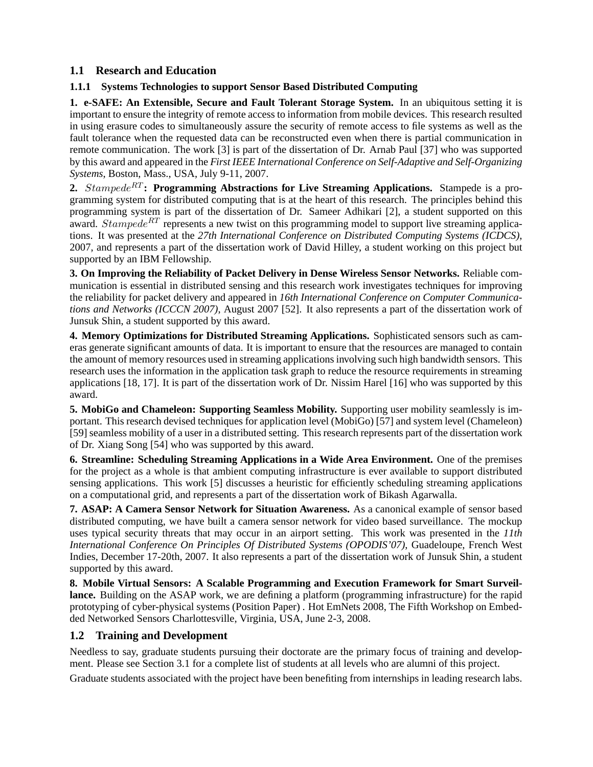### **1.1 Research and Education**

#### **1.1.1 Systems Technologies to support Sensor Based Distributed Computing**

**1. e-SAFE: An Extensible, Secure and Fault Tolerant Storage System.** In an ubiquitous setting it is important to ensure the integrity of remote access to information from mobile devices. This research resulted in using erasure codes to simultaneously assure the security of remote access to file systems as well as the fault tolerance when the requested data can be reconstructed even when there is partial communication in remote communication. The work [3] is part of the dissertation of Dr. Arnab Paul [37] who was supported by this award and appeared in the *First IEEE International Conference on Self-Adaptive and Self-Organizing Systems*, Boston, Mass., USA, July 9-11, 2007.

**2.** Stampede<sup>RT</sup>: Programming Abstractions for Live Streaming Applications. Stampede is a programming system for distributed computing that is at the heart of this research. The principles behind this programming system is part of the dissertation of Dr. Sameer Adhikari [2], a student supported on this award. Stampede<sup>RT</sup> represents a new twist on this programming model to support live streaming applications. It was presented at the *27th International Conference on Distributed Computing Systems (ICDCS)*, 2007, and represents a part of the dissertation work of David Hilley, a student working on this project but supported by an IBM Fellowship.

**3. On Improving the Reliability of Packet Delivery in Dense Wireless Sensor Networks.** Reliable communication is essential in distributed sensing and this research work investigates techniques for improving the reliability for packet delivery and appeared in *16th International Conference on Computer Communications and Networks (ICCCN 2007)*, August 2007 [52]. It also represents a part of the dissertation work of Junsuk Shin, a student supported by this award.

**4. Memory Optimizations for Distributed Streaming Applications.** Sophisticated sensors such as cameras generate significant amounts of data. It is important to ensure that the resources are managed to contain the amount of memory resources used in streaming applicationsinvolving such high bandwidth sensors. This research uses the information in the application task graph to reduce the resource requirements in streaming applications [18, 17]. It is part of the dissertation work of Dr. Nissim Harel [16] who was supported by this award.

**5. MobiGo and Chameleon: Supporting Seamless Mobility.** Supporting user mobility seamlessly is important. This research devised techniques for application level (MobiGo) [57] and system level (Chameleon) [59] seamless mobility of a user in a distributed setting. This research represents part of the dissertation work of Dr. Xiang Song [54] who was supported by this award.

**6. Streamline: Scheduling Streaming Applications in a Wide Area Environment.** One of the premises for the project as a whole is that ambient computing infrastructure is ever available to support distributed sensing applications. This work [5] discusses a heuristic for efficiently scheduling streaming applications on a computational grid, and represents a part of the dissertation work of Bikash Agarwalla.

**7. ASAP: A Camera Sensor Network for Situation Awareness.** As a canonical example of sensor based distributed computing, we have built a camera sensor network for video based surveillance. The mockup uses typical security threats that may occur in an airport setting. This work was presented in the *11th International Conference On Principles Of Distributed Systems (OPODIS'07)*, Guadeloupe, French West Indies, December 17-20th, 2007. It also represents a part of the dissertation work of Junsuk Shin, a student supported by this award.

**8. Mobile Virtual Sensors: A Scalable Programming and Execution Framework for Smart Surveillance.** Building on the ASAP work, we are defining a platform (programming infrastructure) for the rapid prototyping of cyber-physical systems (Position Paper) . Hot EmNets 2008, The Fifth Workshop on Embedded Networked Sensors Charlottesville, Virginia, USA, June 2-3, 2008.

#### **1.2 Training and Development**

Needless to say, graduate students pursuing their doctorate are the primary focus of training and development. Please see Section 3.1 for a complete list of students at all levels who are alumni of this project.

Graduate students associated with the project have been benefiting from internships in leading research labs.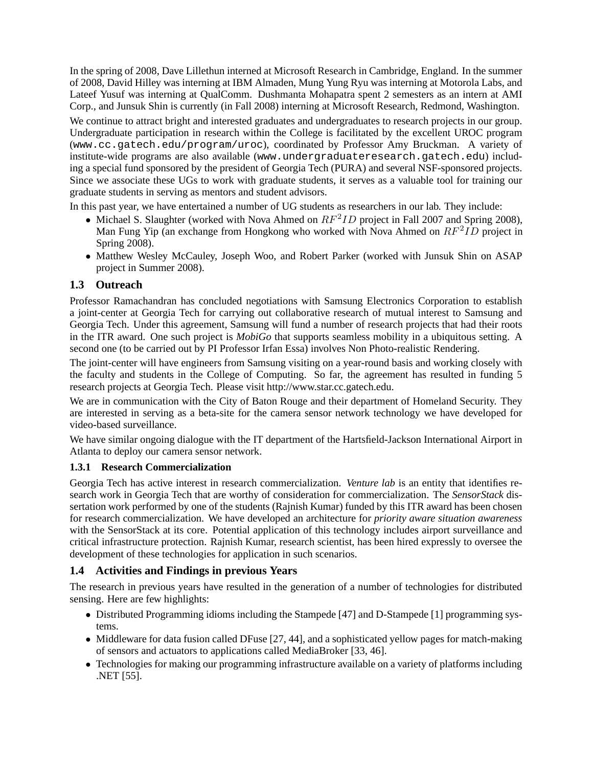In the spring of 2008, Dave Lillethun interned at Microsoft Research in Cambridge, England. In the summer of 2008, David Hilley was interning at IBM Almaden, Mung Yung Ryu was interning at Motorola Labs, and Lateef Yusuf was interning at QualComm. Dushmanta Mohapatra spent 2 semesters as an intern at AMI Corp., and Junsuk Shin is currently (in Fall 2008) interning at Microsoft Research, Redmond, Washington.

We continue to attract bright and interested graduates and undergraduates to research projects in our group. Undergraduate participation in research within the College is facilitated by the excellent UROC program (www.cc.gatech.edu/program/uroc), coordinated by Professor Amy Bruckman. A variety of institute-wide programs are also available (www.undergraduateresearch.gatech.edu) including a special fund sponsored by the president of Georgia Tech (PURA) and several NSF-sponsored projects. Since we associate these UGs to work with graduate students, it serves as a valuable tool for training our graduate students in serving as mentors and student advisors.

In this past year, we have entertained a number of UG students as researchers in our lab. They include:

- Michael S. Slaughter (worked with Nova Ahmed on  $RF^2ID$  project in Fall 2007 and Spring 2008), Man Fung Yip (an exchange from Hongkong who worked with Nova Ahmed on  $RF^2ID$  project in Spring 2008).
- Matthew Wesley McCauley, Joseph Woo, and Robert Parker (worked with Junsuk Shin on ASAP project in Summer 2008).

### **1.3 Outreach**

Professor Ramachandran has concluded negotiations with Samsung Electronics Corporation to establish a joint-center at Georgia Tech for carrying out collaborative research of mutual interest to Samsung and Georgia Tech. Under this agreement, Samsung will fund a number of research projects that had their roots in the ITR award. One such project is *MobiGo* that supports seamless mobility in a ubiquitous setting. A second one (to be carried out by PI Professor Irfan Essa) involves Non Photo-realistic Rendering.

The joint-center will have engineers from Samsung visiting on a year-round basis and working closely with the faculty and students in the College of Computing. So far, the agreement has resulted in funding 5 research projects at Georgia Tech. Please visit http://www.star.cc.gatech.edu.

We are in communication with the City of Baton Rouge and their department of Homeland Security. They are interested in serving as a beta-site for the camera sensor network technology we have developed for video-based surveillance.

We have similar ongoing dialogue with the IT department of the Hartsfield-Jackson International Airport in Atlanta to deploy our camera sensor network.

#### **1.3.1 Research Commercialization**

Georgia Tech has active interest in research commercialization. *Venture lab* is an entity that identifies research work in Georgia Tech that are worthy of consideration for commercialization. The *SensorStack* dissertation work performed by one of the students (Rajnish Kumar) funded by this ITR award has been chosen for research commercialization. We have developed an architecture for *priority aware situation awareness* with the SensorStack at its core. Potential application of this technology includes airport surveillance and critical infrastructure protection. Rajnish Kumar, research scientist, has been hired expressly to oversee the development of these technologies for application in such scenarios.

#### **1.4 Activities and Findings in previous Years**

The research in previous years have resulted in the generation of a number of technologies for distributed sensing. Here are few highlights:

- Distributed Programming idioms including the Stampede [47] and D-Stampede [1] programming systems.
- Middleware for data fusion called DFuse [27, 44], and a sophisticated yellow pages for match-making of sensors and actuators to applications called MediaBroker [33, 46].
- Technologies for making our programming infrastructure available on a variety of platforms including .NET [55].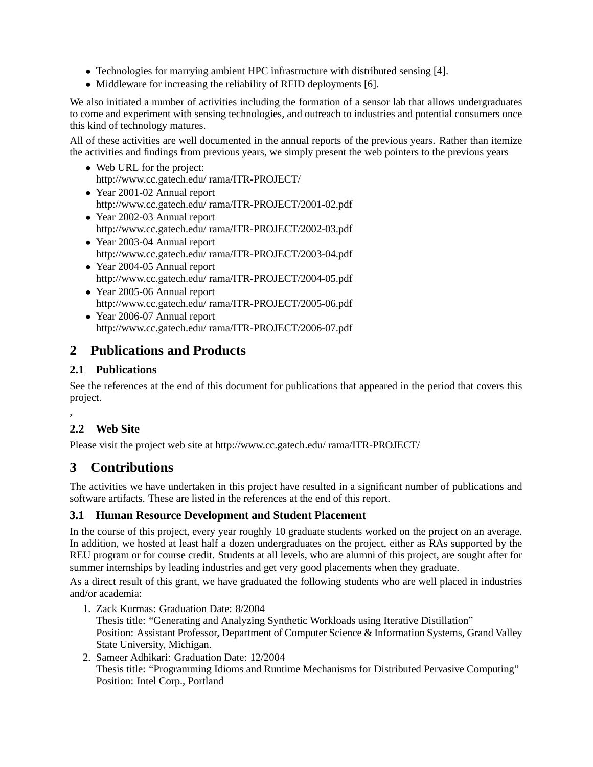- Technologies for marrying ambient HPC infrastructure with distributed sensing [4].
- Middleware for increasing the reliability of RFID deployments [6].

We also initiated a number of activities including the formation of a sensor lab that allows undergraduates to come and experiment with sensing technologies, and outreach to industries and potential consumers once this kind of technology matures.

All of these activities are well documented in the annual reports of the previous years. Rather than itemize the activities and findings from previous years, we simply present the web pointers to the previous years

- Web URL for the project: http://www.cc.gatech.edu/ rama/ITR-PROJECT/
- Year 2001-02 Annual report http://www.cc.gatech.edu/ rama/ITR-PROJECT/2001-02.pdf
- Year 2002-03 Annual report http://www.cc.gatech.edu/ rama/ITR-PROJECT/2002-03.pdf
- Year 2003-04 Annual report http://www.cc.gatech.edu/ rama/ITR-PROJECT/2003-04.pdf
- Year 2004-05 Annual report http://www.cc.gatech.edu/ rama/ITR-PROJECT/2004-05.pdf
- Year 2005-06 Annual report http://www.cc.gatech.edu/ rama/ITR-PROJECT/2005-06.pdf
- Year 2006-07 Annual report http://www.cc.gatech.edu/ rama/ITR-PROJECT/2006-07.pdf

## **2 Publications and Products**

### **2.1 Publications**

See the references at the end of this document for publications that appeared in the period that covers this project.

## **2.2 Web Site**

,

Please visit the project web site at http://www.cc.gatech.edu/ rama/ITR-PROJECT/

## **3 Contributions**

The activities we have undertaken in this project have resulted in a significant number of publications and software artifacts. These are listed in the references at the end of this report.

### **3.1 Human Resource Development and Student Placement**

In the course of this project, every year roughly 10 graduate students worked on the project on an average. In addition, we hosted at least half a dozen undergraduates on the project, either as RAs supported by the REU program or for course credit. Students at all levels, who are alumni of this project, are sought after for summer internships by leading industries and get very good placements when they graduate.

As a direct result of this grant, we have graduated the following students who are well placed in industries and/or academia:

- 1. Zack Kurmas: Graduation Date: 8/2004 Thesis title: "Generating and Analyzing Synthetic Workloads using Iterative Distillation" Position: Assistant Professor, Department of Computer Science & Information Systems, Grand Valley State University, Michigan.
- 2. Sameer Adhikari: Graduation Date: 12/2004 Thesis title: "Programming Idioms and Runtime Mechanisms for Distributed Pervasive Computing" Position: Intel Corp., Portland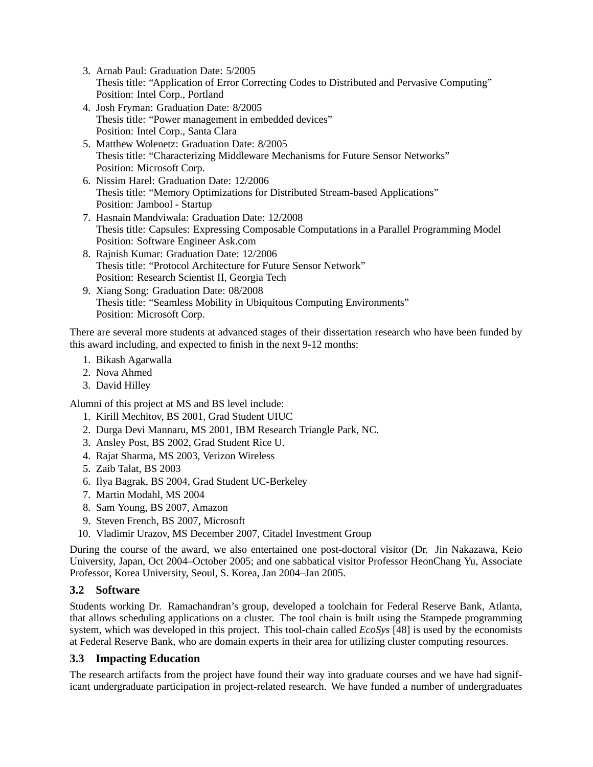- 3. Arnab Paul: Graduation Date: 5/2005 Thesis title: "Application of Error Correcting Codes to Distributed and Pervasive Computing" Position: Intel Corp., Portland
- 4. Josh Fryman: Graduation Date: 8/2005 Thesis title: "Power management in embedded devices" Position: Intel Corp., Santa Clara
- 5. Matthew Wolenetz: Graduation Date: 8/2005 Thesis title: "Characterizing Middleware Mechanisms for Future Sensor Networks" Position: Microsoft Corp.
- 6. Nissim Harel: Graduation Date: 12/2006 Thesis title: "Memory Optimizations for Distributed Stream-based Applications" Position: Jambool - Startup
- 7. Hasnain Mandviwala: Graduation Date: 12/2008 Thesis title: Capsules: Expressing Composable Computations in a Parallel Programming Model Position: Software Engineer Ask.com
- 8. Rajnish Kumar: Graduation Date: 12/2006 Thesis title: "Protocol Architecture for Future Sensor Network" Position: Research Scientist II, Georgia Tech
- 9. Xiang Song: Graduation Date: 08/2008 Thesis title: "Seamless Mobility in Ubiquitous Computing Environments" Position: Microsoft Corp.

There are several more students at advanced stages of their dissertation research who have been funded by this award including, and expected to finish in the next 9-12 months:

- 1. Bikash Agarwalla
- 2. Nova Ahmed
- 3. David Hilley

Alumni of this project at MS and BS level include:

- 1. Kirill Mechitov, BS 2001, Grad Student UIUC
- 2. Durga Devi Mannaru, MS 2001, IBM Research Triangle Park, NC.
- 3. Ansley Post, BS 2002, Grad Student Rice U.
- 4. Rajat Sharma, MS 2003, Verizon Wireless
- 5. Zaib Talat, BS 2003
- 6. Ilya Bagrak, BS 2004, Grad Student UC-Berkeley
- 7. Martin Modahl, MS 2004
- 8. Sam Young, BS 2007, Amazon
- 9. Steven French, BS 2007, Microsoft
- 10. Vladimir Urazov, MS December 2007, Citadel Investment Group

During the course of the award, we also entertained one post-doctoral visitor (Dr. Jin Nakazawa, Keio University, Japan, Oct 2004–October 2005; and one sabbatical visitor Professor HeonChang Yu, Associate Professor, Korea University, Seoul, S. Korea, Jan 2004–Jan 2005.

### **3.2 Software**

Students working Dr. Ramachandran's group, developed a toolchain for Federal Reserve Bank, Atlanta, that allows scheduling applications on a cluster. The tool chain is built using the Stampede programming system, which was developed in this project. This tool-chain called *EcoSys* [48] is used by the economists at Federal Reserve Bank, who are domain experts in their area for utilizing cluster computing resources.

### **3.3 Impacting Education**

The research artifacts from the project have found their way into graduate courses and we have had significant undergraduate participation in project-related research. We have funded a number of undergraduates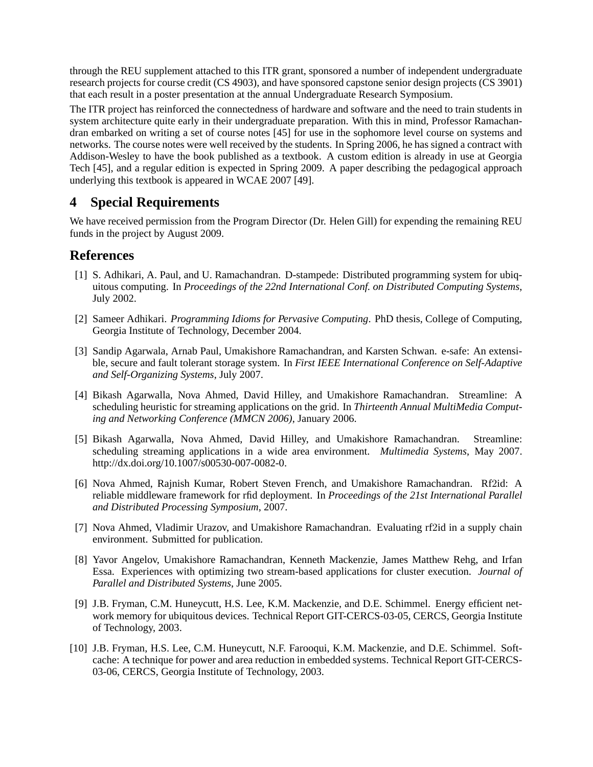through the REU supplement attached to this ITR grant, sponsored a number of independent undergraduate research projects for course credit (CS 4903), and have sponsored capstone senior design projects (CS 3901) that each result in a poster presentation at the annual Undergraduate Research Symposium.

The ITR project has reinforced the connectedness of hardware and software and the need to train students in system architecture quite early in their undergraduate preparation. With this in mind, Professor Ramachandran embarked on writing a set of course notes [45] for use in the sophomore level course on systems and networks. The course notes were well received by the students. In Spring 2006, he has signed a contract with Addison-Wesley to have the book published as a textbook. A custom edition is already in use at Georgia Tech [45], and a regular edition is expected in Spring 2009. A paper describing the pedagogical approach underlying this textbook is appeared in WCAE 2007 [49].

## **4 Special Requirements**

We have received permission from the Program Director (Dr. Helen Gill) for expending the remaining REU funds in the project by August 2009.

## **References**

- [1] S. Adhikari, A. Paul, and U. Ramachandran. D-stampede: Distributed programming system for ubiquitous computing. In *Proceedings of the 22nd International Conf. on Distributed Computing Systems*, July 2002.
- [2] Sameer Adhikari. *Programming Idioms for Pervasive Computing*. PhD thesis, College of Computing, Georgia Institute of Technology, December 2004.
- [3] Sandip Agarwala, Arnab Paul, Umakishore Ramachandran, and Karsten Schwan. e-safe: An extensible, secure and fault tolerant storage system. In *First IEEE International Conference on Self-Adaptive and Self-Organizing Systems*, July 2007.
- [4] Bikash Agarwalla, Nova Ahmed, David Hilley, and Umakishore Ramachandran. Streamline: A scheduling heuristic for streaming applications on the grid. In *Thirteenth Annual MultiMedia Computing and Networking Conference (MMCN 2006)*, January 2006.
- [5] Bikash Agarwalla, Nova Ahmed, David Hilley, and Umakishore Ramachandran. Streamline: scheduling streaming applications in a wide area environment. *Multimedia Systems*, May 2007. http://dx.doi.org/10.1007/s00530-007-0082-0.
- [6] Nova Ahmed, Rajnish Kumar, Robert Steven French, and Umakishore Ramachandran. Rf2id: A reliable middleware framework for rfid deployment. In *Proceedings of the 21st International Parallel and Distributed Processing Symposium*, 2007.
- [7] Nova Ahmed, Vladimir Urazov, and Umakishore Ramachandran. Evaluating rf2id in a supply chain environment. Submitted for publication.
- [8] Yavor Angelov, Umakishore Ramachandran, Kenneth Mackenzie, James Matthew Rehg, and Irfan Essa. Experiences with optimizing two stream-based applications for cluster execution. *Journal of Parallel and Distributed Systems*, June 2005.
- [9] J.B. Fryman, C.M. Huneycutt, H.S. Lee, K.M. Mackenzie, and D.E. Schimmel. Energy efficient network memory for ubiquitous devices. Technical Report GIT-CERCS-03-05, CERCS, Georgia Institute of Technology, 2003.
- [10] J.B. Fryman, H.S. Lee, C.M. Huneycutt, N.F. Farooqui, K.M. Mackenzie, and D.E. Schimmel. Softcache: A technique for power and area reduction in embedded systems. Technical Report GIT-CERCS-03-06, CERCS, Georgia Institute of Technology, 2003.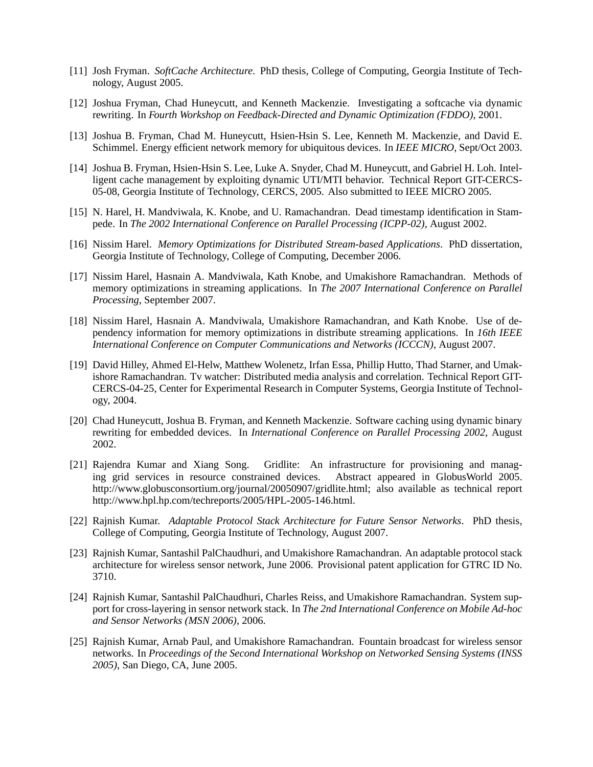- [11] Josh Fryman. *SoftCache Architecture*. PhD thesis, College of Computing, Georgia Institute of Technology, August 2005.
- [12] Joshua Fryman, Chad Huneycutt, and Kenneth Mackenzie. Investigating a softcache via dynamic rewriting. In *Fourth Workshop on Feedback-Directed and Dynamic Optimization (FDDO)*, 2001.
- [13] Joshua B. Fryman, Chad M. Huneycutt, Hsien-Hsin S. Lee, Kenneth M. Mackenzie, and David E. Schimmel. Energy efficient network memory for ubiquitous devices. In *IEEE MICRO*, Sept/Oct 2003.
- [14] Joshua B. Fryman, Hsien-Hsin S. Lee, Luke A. Snyder, Chad M. Huneycutt, and Gabriel H. Loh. Intelligent cache management by exploiting dynamic UTI/MTI behavior. Technical Report GIT-CERCS-05-08, Georgia Institute of Technology, CERCS, 2005. Also submitted to IEEE MICRO 2005.
- [15] N. Harel, H. Mandviwala, K. Knobe, and U. Ramachandran. Dead timestamp identification in Stampede. In *The 2002 International Conference on Parallel Processing (ICPP-02)*, August 2002.
- [16] Nissim Harel. *Memory Optimizations for Distributed Stream-based Applications*. PhD dissertation, Georgia Institute of Technology, College of Computing, December 2006.
- [17] Nissim Harel, Hasnain A. Mandviwala, Kath Knobe, and Umakishore Ramachandran. Methods of memory optimizations in streaming applications. In *The 2007 International Conference on Parallel Processing*, September 2007.
- [18] Nissim Harel, Hasnain A. Mandviwala, Umakishore Ramachandran, and Kath Knobe. Use of dependency information for memory optimizations in distribute streaming applications. In *16th IEEE International Conference on Computer Communications and Networks (ICCCN)*, August 2007.
- [19] David Hilley, Ahmed El-Helw, Matthew Wolenetz, Irfan Essa, Phillip Hutto, Thad Starner, and Umakishore Ramachandran. Tv watcher: Distributed media analysis and correlation. Technical Report GIT-CERCS-04-25, Center for Experimental Research in Computer Systems, Georgia Institute of Technology, 2004.
- [20] Chad Huneycutt, Joshua B. Fryman, and Kenneth Mackenzie. Software caching using dynamic binary rewriting for embedded devices. In *International Conference on Parallel Processing 2002*, August 2002.
- [21] Rajendra Kumar and Xiang Song. Gridlite: An infrastructure for provisioning and managing grid services in resource constrained devices. Abstract appeared in GlobusWorld 2005. http://www.globusconsortium.org/journal/20050907/gridlite.html; also available as technical report http://www.hpl.hp.com/techreports/2005/HPL-2005-146.html.
- [22] Rajnish Kumar. *Adaptable Protocol Stack Architecture for Future Sensor Networks*. PhD thesis, College of Computing, Georgia Institute of Technology, August 2007.
- [23] Rajnish Kumar, Santashil PalChaudhuri, and Umakishore Ramachandran. An adaptable protocol stack architecture for wireless sensor network, June 2006. Provisional patent application for GTRC ID No. 3710.
- [24] Rajnish Kumar, Santashil PalChaudhuri, Charles Reiss, and Umakishore Ramachandran. System support for cross-layering in sensor network stack. In *The 2nd International Conference on Mobile Ad-hoc and Sensor Networks (MSN 2006)*, 2006.
- [25] Rajnish Kumar, Arnab Paul, and Umakishore Ramachandran. Fountain broadcast for wireless sensor networks. In *Proceedings of the Second International Workshop on Networked Sensing Systems (INSS 2005)*, San Diego, CA, June 2005.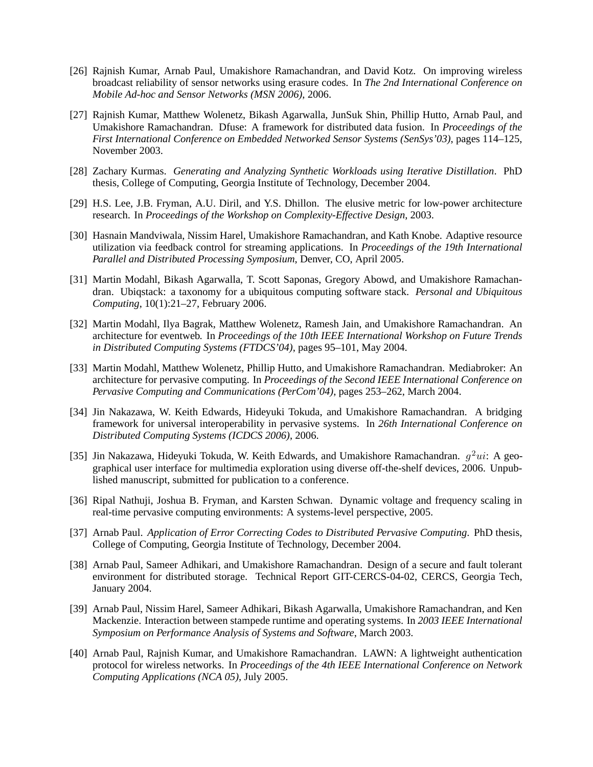- [26] Rajnish Kumar, Arnab Paul, Umakishore Ramachandran, and David Kotz. On improving wireless broadcast reliability of sensor networks using erasure codes. In *The 2nd International Conference on Mobile Ad-hoc and Sensor Networks (MSN 2006)*, 2006.
- [27] Rajnish Kumar, Matthew Wolenetz, Bikash Agarwalla, JunSuk Shin, Phillip Hutto, Arnab Paul, and Umakishore Ramachandran. Dfuse: A framework for distributed data fusion. In *Proceedings of the First International Conference on Embedded Networked Sensor Systems (SenSys'03)*, pages 114–125, November 2003.
- [28] Zachary Kurmas. *Generating and Analyzing Synthetic Workloads using Iterative Distillation*. PhD thesis, College of Computing, Georgia Institute of Technology, December 2004.
- [29] H.S. Lee, J.B. Fryman, A.U. Diril, and Y.S. Dhillon. The elusive metric for low-power architecture research. In *Proceedings of the Workshop on Complexity-Effective Design*, 2003.
- [30] Hasnain Mandviwala, Nissim Harel, Umakishore Ramachandran, and Kath Knobe. Adaptive resource utilization via feedback control for streaming applications. In *Proceedings of the 19th International Parallel and Distributed Processing Symposium*, Denver, CO, April 2005.
- [31] Martin Modahl, Bikash Agarwalla, T. Scott Saponas, Gregory Abowd, and Umakishore Ramachandran. Ubiqstack: a taxonomy for a ubiquitous computing software stack. *Personal and Ubiquitous Computing*, 10(1):21–27, February 2006.
- [32] Martin Modahl, Ilya Bagrak, Matthew Wolenetz, Ramesh Jain, and Umakishore Ramachandran. An architecture for eventweb. In *Proceedings of the 10th IEEE International Workshop on Future Trends in Distributed Computing Systems (FTDCS'04)*, pages 95–101, May 2004.
- [33] Martin Modahl, Matthew Wolenetz, Phillip Hutto, and Umakishore Ramachandran. Mediabroker: An architecture for pervasive computing. In *Proceedings of the Second IEEE International Conference on Pervasive Computing and Communications (PerCom'04)*, pages 253–262, March 2004.
- [34] Jin Nakazawa, W. Keith Edwards, Hideyuki Tokuda, and Umakishore Ramachandran. A bridging framework for universal interoperability in pervasive systems. In *26th International Conference on Distributed Computing Systems (ICDCS 2006)*, 2006.
- [35] Jin Nakazawa, Hideyuki Tokuda, W. Keith Edwards, and Umakishore Ramachandran.  $g^2ui$ : A geographical user interface for multimedia exploration using diverse off-the-shelf devices, 2006. Unpublished manuscript, submitted for publication to a conference.
- [36] Ripal Nathuji, Joshua B. Fryman, and Karsten Schwan. Dynamic voltage and frequency scaling in real-time pervasive computing environments: A systems-level perspective, 2005.
- [37] Arnab Paul. *Application of Error Correcting Codes to Distributed Pervasive Computing*. PhD thesis, College of Computing, Georgia Institute of Technology, December 2004.
- [38] Arnab Paul, Sameer Adhikari, and Umakishore Ramachandran. Design of a secure and fault tolerant environment for distributed storage. Technical Report GIT-CERCS-04-02, CERCS, Georgia Tech, January 2004.
- [39] Arnab Paul, Nissim Harel, Sameer Adhikari, Bikash Agarwalla, Umakishore Ramachandran, and Ken Mackenzie. Interaction between stampede runtime and operating systems. In *2003 IEEE International Symposium on Performance Analysis of Systems and Software*, March 2003.
- [40] Arnab Paul, Rajnish Kumar, and Umakishore Ramachandran. LAWN: A lightweight authentication protocol for wireless networks. In *Proceedings of the 4th IEEE International Conference on Network Computing Applications (NCA 05)*, July 2005.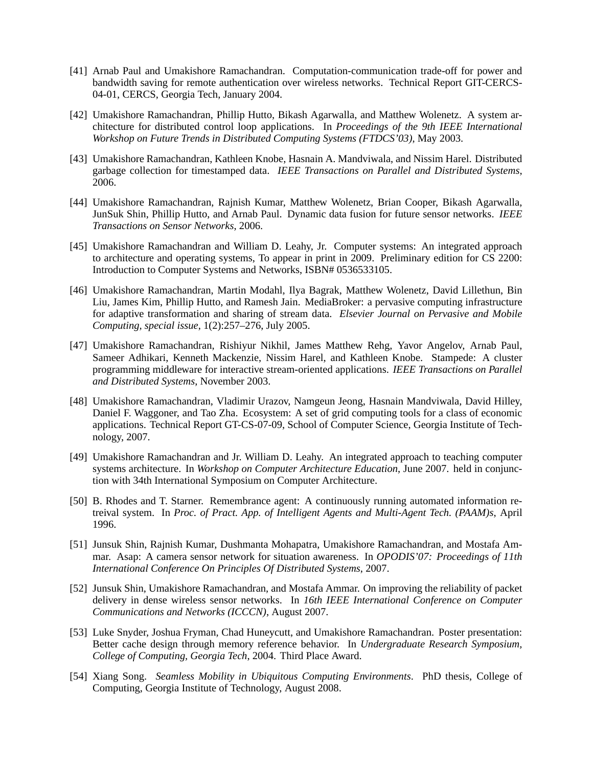- [41] Arnab Paul and Umakishore Ramachandran. Computation-communication trade-off for power and bandwidth saving for remote authentication over wireless networks. Technical Report GIT-CERCS-04-01, CERCS, Georgia Tech, January 2004.
- [42] Umakishore Ramachandran, Phillip Hutto, Bikash Agarwalla, and Matthew Wolenetz. A system architecture for distributed control loop applications. In *Proceedings of the 9th IEEE International Workshop on Future Trends in Distributed Computing Systems (FTDCS'03)*, May 2003.
- [43] Umakishore Ramachandran, Kathleen Knobe, Hasnain A. Mandviwala, and Nissim Harel. Distributed garbage collection for timestamped data. *IEEE Transactions on Parallel and Distributed Systems*, 2006.
- [44] Umakishore Ramachandran, Rajnish Kumar, Matthew Wolenetz, Brian Cooper, Bikash Agarwalla, JunSuk Shin, Phillip Hutto, and Arnab Paul. Dynamic data fusion for future sensor networks. *IEEE Transactions on Sensor Networks*, 2006.
- [45] Umakishore Ramachandran and William D. Leahy, Jr. Computer systems: An integrated approach to architecture and operating systems, To appear in print in 2009. Preliminary edition for CS 2200: Introduction to Computer Systems and Networks, ISBN# 0536533105.
- [46] Umakishore Ramachandran, Martin Modahl, Ilya Bagrak, Matthew Wolenetz, David Lillethun, Bin Liu, James Kim, Phillip Hutto, and Ramesh Jain. MediaBroker: a pervasive computing infrastructure for adaptive transformation and sharing of stream data. *Elsevier Journal on Pervasive and Mobile Computing, special issue*, 1(2):257–276, July 2005.
- [47] Umakishore Ramachandran, Rishiyur Nikhil, James Matthew Rehg, Yavor Angelov, Arnab Paul, Sameer Adhikari, Kenneth Mackenzie, Nissim Harel, and Kathleen Knobe. Stampede: A cluster programming middleware for interactive stream-oriented applications. *IEEE Transactions on Parallel and Distributed Systems*, November 2003.
- [48] Umakishore Ramachandran, Vladimir Urazov, Namgeun Jeong, Hasnain Mandviwala, David Hilley, Daniel F. Waggoner, and Tao Zha. Ecosystem: A set of grid computing tools for a class of economic applications. Technical Report GT-CS-07-09, School of Computer Science, Georgia Institute of Technology, 2007.
- [49] Umakishore Ramachandran and Jr. William D. Leahy. An integrated approach to teaching computer systems architecture. In *Workshop on Computer Architecture Education*, June 2007. held in conjunction with 34th International Symposium on Computer Architecture.
- [50] B. Rhodes and T. Starner. Remembrance agent: A continuously running automated information retreival system. In *Proc. of Pract. App. of Intelligent Agents and Multi-Agent Tech. (PAAM)s*, April 1996.
- [51] Junsuk Shin, Rajnish Kumar, Dushmanta Mohapatra, Umakishore Ramachandran, and Mostafa Ammar. Asap: A camera sensor network for situation awareness. In *OPODIS'07: Proceedings of 11th International Conference On Principles Of Distributed Systems*, 2007.
- [52] Junsuk Shin, Umakishore Ramachandran, and Mostafa Ammar. On improving the reliability of packet delivery in dense wireless sensor networks. In *16th IEEE International Conference on Computer Communications and Networks (ICCCN)*, August 2007.
- [53] Luke Snyder, Joshua Fryman, Chad Huneycutt, and Umakishore Ramachandran. Poster presentation: Better cache design through memory reference behavior. In *Undergraduate Research Symposium, College of Computing, Georgia Tech*, 2004. Third Place Award.
- [54] Xiang Song. *Seamless Mobility in Ubiquitous Computing Environments*. PhD thesis, College of Computing, Georgia Institute of Technology, August 2008.